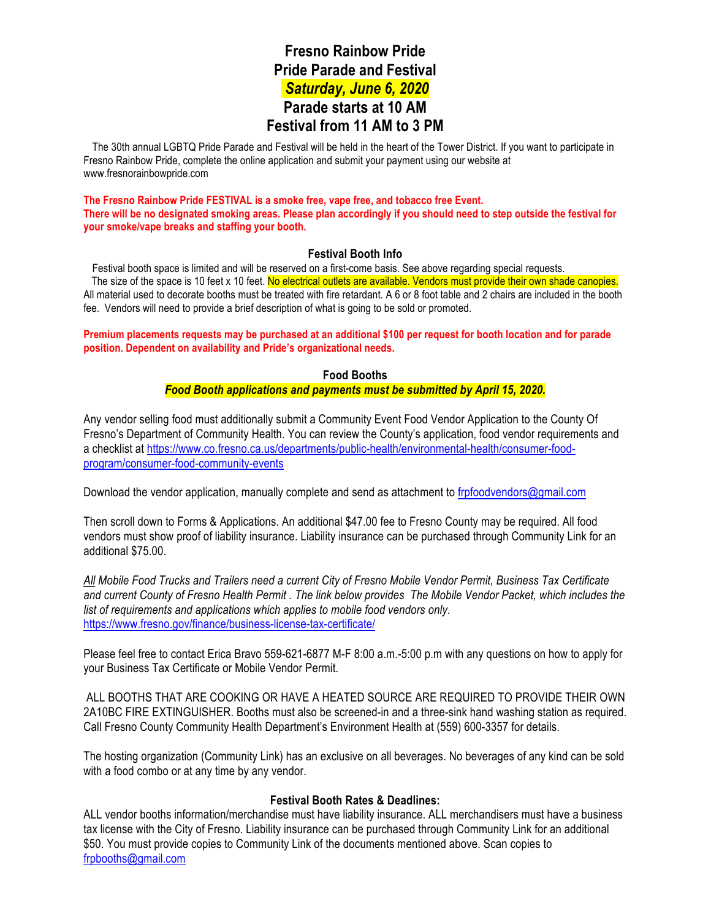# **Fresno Rainbow Pride Pride Parade and Festival** *Saturday, June 6, 2020* **Parade starts at 10 AM Festival from 11 AM to 3 PM**

 The 30th annual LGBTQ Pride Parade and Festival will be held in the heart of the Tower District. If you want to participate in Fresno Rainbow Pride, complete the online application and submit your payment using our website at www.fresnorainbowpride.com

**The Fresno Rainbow Pride FESTIVAL is a smoke free, vape free, and tobacco free Event. There will be no designated smoking areas. Please plan accordingly if you should need to step outside the festival for your smoke/vape breaks and staffing your booth.**

## **Festival Booth Info**

 Festival booth space is limited and will be reserved on a first-come basis. See above regarding special requests. The size of the space is 10 feet x 10 feet. No electrical outlets are available. Vendors must provide their own shade canopies. All material used to decorate booths must be treated with fire retardant. A 6 or 8 foot table and 2 chairs are included in the booth fee. Vendors will need to provide a brief description of what is going to be sold or promoted.

**Premium placements requests may be purchased at an additional \$100 per request for booth location and for parade position. Dependent on availability and Pride's organizational needs.**

#### **Food Booths**

#### *Food Booth applications and payments must be submitted by April 15, 2020.*

Any vendor selling food must additionally submit a Community Event Food Vendor Application to the County Of Fresno's Department of Community Health. You can review the County's application, food vendor requirements and a checklist at https://www.co.fresno.ca.us/departments/public-health/environmental-health/consumer-foodprogram/consumer-food-community-events

Download the vendor application, manually complete and send as attachment to frpfoodvendors@gmail.com

Then scroll down to Forms & Applications. An additional \$47.00 fee to Fresno County may be required. All food vendors must show proof of liability insurance. Liability insurance can be purchased through Community Link for an additional \$75.00.

*All Mobile Food Trucks and Trailers need a current City of Fresno Mobile Vendor Permit, Business Tax Certificate and current County of Fresno Health Permit . The link below provides The Mobile Vendor Packet, which includes the list of requirements and applications which applies to mobile food vendors only*. https://www.fresno.gov/finance/business-license-tax-certificate/

Please feel free to contact Erica Bravo 559-621-6877 M-F 8:00 a.m.-5:00 p.m with any questions on how to apply for your Business Tax Certificate or Mobile Vendor Permit.

 ALL BOOTHS THAT ARE COOKING OR HAVE A HEATED SOURCE ARE REQUIRED TO PROVIDE THEIR OWN 2A10BC FIRE EXTINGUISHER. Booths must also be screened-in and a three-sink hand washing station as required. Call Fresno County Community Health Department's Environment Health at (559) 600-3357 for details.

The hosting organization (Community Link) has an exclusive on all beverages. No beverages of any kind can be sold with a food combo or at any time by any vendor.

## **Festival Booth Rates & Deadlines:**

ALL vendor booths information/merchandise must have liability insurance. ALL merchandisers must have a business tax license with the City of Fresno. Liability insurance can be purchased through Community Link for an additional \$50. You must provide copies to Community Link of the documents mentioned above. Scan copies to frpbooths@gmail.com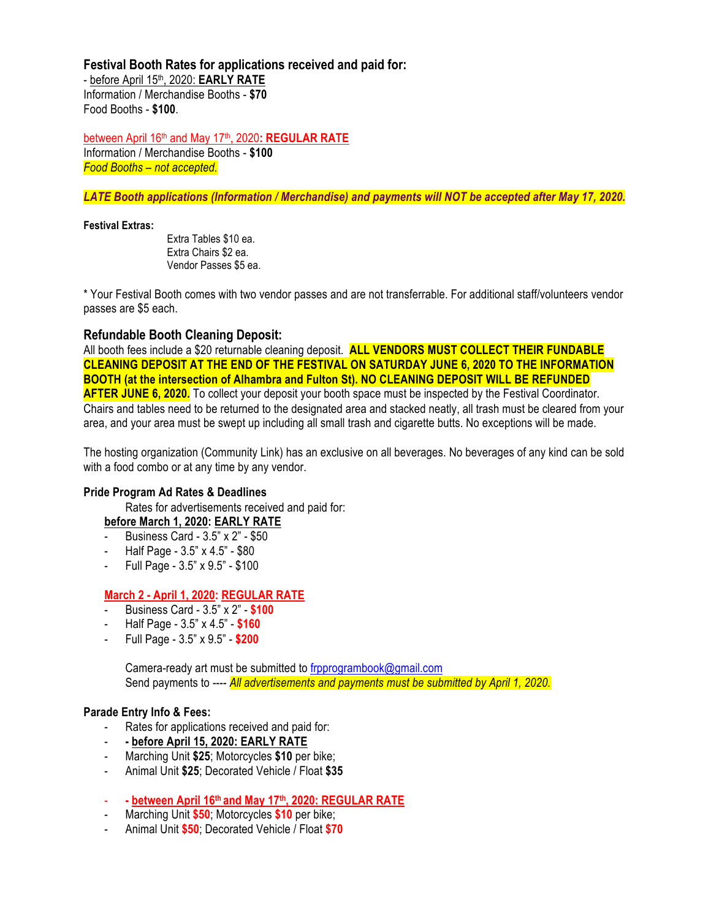## **Festival Booth Rates for applications received and paid for:**

- before April 15th, 2020: **EARLY RATE** Information / Merchandise Booths - **\$70** Food Booths - **\$100**.

between April 16<sup>th</sup> and May 17<sup>th</sup>, 2020: REGULAR RATE Information / Merchandise Booths - **\$100** *Food Booths – not accepted.*

*LATE Booth applications (Information / Merchandise) and payments will NOT be accepted after May 17, 2020.*

#### **Festival Extras:**

Extra Tables \$10 ea. Extra Chairs \$2 ea. Vendor Passes \$5 ea.

\* Your Festival Booth comes with two vendor passes and are not transferrable. For additional staff/volunteers vendor passes are \$5 each.

# **Refundable Booth Cleaning Deposit:**

All booth fees include a \$20 returnable cleaning deposit. **ALL VENDORS MUST COLLECT THEIR FUNDABLE CLEANING DEPOSIT AT THE END OF THE FESTIVAL ON SATURDAY JUNE 6, 2020 TO THE INFORMATION BOOTH (at the intersection of Alhambra and Fulton St). NO CLEANING DEPOSIT WILL BE REFUNDED AFTER JUNE 6, 2020.** To collect your deposit your booth space must be inspected by the Festival Coordinator.

Chairs and tables need to be returned to the designated area and stacked neatly, all trash must be cleared from your area, and your area must be swept up including all small trash and cigarette butts. No exceptions will be made.

The hosting organization (Community Link) has an exclusive on all beverages. No beverages of any kind can be sold with a food combo or at any time by any vendor.

## **Pride Program Ad Rates & Deadlines**

Rates for advertisements received and paid for:

## **before March 1, 2020: EARLY RATE**

- Business Card 3.5" x 2" \$50
- Half Page 3.5" x 4.5" \$80
- Full Page 3.5" x 9.5" \$100

## **March 2 - April 1, 2020: REGULAR RATE**

- Business Card 3.5" x 2" **\$100**
- Half Page 3.5" x 4.5" **\$160**
- Full Page 3.5" x 9.5" **\$200**

Camera-ready art must be submitted to frpprogrambook@gmail.com Send payments to ---- *All advertisements and payments must be submitted by April 1, 2020.*

#### **Parade Entry Info & Fees:**

- Rates for applications received and paid for:
- **- before April 15, 2020: EARLY RATE**
- Marching Unit **\$25**; Motorcycles **\$10** per bike;
- Animal Unit **\$25**; Decorated Vehicle / Float **\$35**
- **- between April 16th and May 17th, 2020: REGULAR RATE**
- Marching Unit **\$50**; Motorcycles **\$10** per bike;
- Animal Unit **\$50**; Decorated Vehicle / Float **\$70**